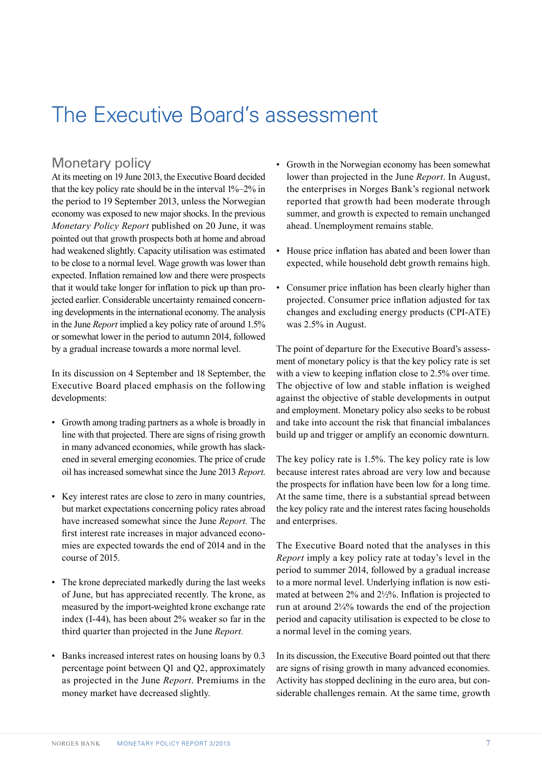## The Executive Board's assessment

## Monetary policy

At its meeting on 19 June 2013, the Executive Board decided that the key policy rate should be in the interval 1%–2% in the period to 19 September 2013, unless the Norwegian economy was exposed to new major shocks. In the previous *Monetary Policy Report* published on 20 June, it was pointed out that growth prospects both at home and abroad had weakened slightly. Capacity utilisation was estimated to be close to a normal level. Wage growth was lower than expected. Inflation remained low and there were prospects that it would take longer for inflation to pick up than projected earlier. Considerable uncertainty remained concerning developments in the international economy. The analysis in the June *Report* implied a key policy rate of around 1.5% or somewhat lower in the period to autumn 2014, followed by a gradual increase towards a more normal level.

In its discussion on 4 September and 18 September, the Executive Board placed emphasis on the following developments:

- Growth among trading partners as a whole is broadly in line with that projected. There are signs of rising growth in many advanced economies, while growth has slackened in several emerging economies. The price of crude oil has increased somewhat since the June 2013 *Report*.
- Key interest rates are close to zero in many countries, but market expectations concerning policy rates abroad have increased somewhat since the June *Report.* The first interest rate increases in major advanced economies are expected towards the end of 2014 and in the course of 2015.
- The krone depreciated markedly during the last weeks of June, but has appreciated recently. The krone, as measured by the import-weighted krone exchange rate index (I-44), has been about 2% weaker so far in the third quarter than projected in the June *Report.*
- Banks increased interest rates on housing loans by 0.3 percentage point between Q1 and Q2, approximately as projected in the June *Report*. Premiums in the money market have decreased slightly.
- Growth in the Norwegian economy has been somewhat lower than projected in the June *Report*. In August, the enterprises in Norges Bank's regional network reported that growth had been moderate through summer, and growth is expected to remain unchanged ahead. Unemployment remains stable.
- House price inflation has abated and been lower than expected, while household debt growth remains high.
- Consumer price inflation has been clearly higher than projected. Consumer price inflation adjusted for tax changes and excluding energy products (CPI-ATE) was 2.5% in August.

The point of departure for the Executive Board's assessment of monetary policy is that the key policy rate is set with a view to keeping inflation close to 2.5% over time. The objective of low and stable inflation is weighed against the objective of stable developments in output and employment. Monetary policy also seeks to be robust and take into account the risk that financial imbalances build up and trigger or amplify an economic downturn.

The key policy rate is 1.5%. The key policy rate is low because interest rates abroad are very low and because the prospects for inflation have been low for a long time. At the same time, there is a substantial spread between the key policy rate and the interest rates facing households and enterprises.

The Executive Board noted that the analyses in this *Report* imply a key policy rate at today's level in the period to summer 2014, followed by a gradual increase to a more normal level. Underlying inflation is now estimated at between 2% and 2½%. Inflation is projected to run at around  $2\frac{1}{4}$  towards the end of the projection period and capacity utilisation is expected to be close to a normal level in the coming years.

In its discussion, the Executive Board pointed out that there are signs of rising growth in many advanced economies. Activity has stopped declining in the euro area, but considerable challenges remain. At the same time, growth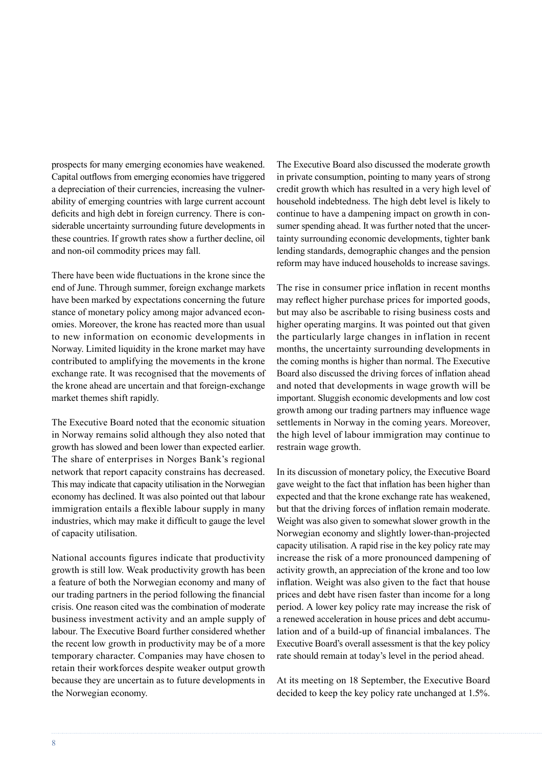prospects for many emerging economies have weakened. Capital outflows from emerging economies have triggered a depreciation of their currencies, increasing the vulnerability of emerging countries with large current account deficits and high debt in foreign currency. There is considerable uncertainty surrounding future developments in these countries. If growth rates show a further decline, oil and non-oil commodity prices may fall.

There have been wide fluctuations in the krone since the end of June. Through summer, foreign exchange markets have been marked by expectations concerning the future stance of monetary policy among major advanced economies. Moreover, the krone has reacted more than usual to new information on economic developments in Norway. Limited liquidity in the krone market may have contributed to amplifying the movements in the krone exchange rate. It was recognised that the movements of the krone ahead are uncertain and that foreign-exchange market themes shift rapidly.

The Executive Board noted that the economic situation in Norway remains solid although they also noted that growth has slowed and been lower than expected earlier. The share of enterprises in Norges Bank's regional network that report capacity constrains has decreased. This may indicate that capacity utilisation in the Norwegian economy has declined. It was also pointed out that labour immigration entails a flexible labour supply in many industries, which may make it difficult to gauge the level of capacity utilisation.

National accounts figures indicate that productivity growth is still low. Weak productivity growth has been a feature of both the Norwegian economy and many of our trading partners in the period following the financial crisis. One reason cited was the combination of moderate business investment activity and an ample supply of labour. The Executive Board further considered whether the recent low growth in productivity may be of a more temporary character. Companies may have chosen to retain their workforces despite weaker output growth because they are uncertain as to future developments in the Norwegian economy.

The Executive Board also discussed the moderate growth in private consumption, pointing to many years of strong credit growth which has resulted in a very high level of household indebtedness. The high debt level is likely to continue to have a dampening impact on growth in consumer spending ahead. It was further noted that the uncertainty surrounding economic developments, tighter bank lending standards, demographic changes and the pension reform may have induced households to increase savings.

The rise in consumer price inflation in recent months may reflect higher purchase prices for imported goods, but may also be ascribable to rising business costs and higher operating margins. It was pointed out that given the particularly large changes in inflation in recent months, the uncertainty surrounding developments in the coming months is higher than normal. The Executive Board also discussed the driving forces of inflation ahead and noted that developments in wage growth will be important. Sluggish economic developments and low cost growth among our trading partners may influence wage settlements in Norway in the coming years. Moreover, the high level of labour immigration may continue to restrain wage growth.

In its discussion of monetary policy, the Executive Board gave weight to the fact that inflation has been higher than expected and that the krone exchange rate has weakened, but that the driving forces of inflation remain moderate. Weight was also given to somewhat slower growth in the Norwegian economy and slightly lower-than-projected capacity utilisation. A rapid rise in the key policy rate may increase the risk of a more pronounced dampening of activity growth, an appreciation of the krone and too low inflation. Weight was also given to the fact that house prices and debt have risen faster than income for a long period. A lower key policy rate may increase the risk of a renewed acceleration in house prices and debt accumulation and of a build-up of financial imbalances. The Executive Board's overall assessment is that the key policy rate should remain at today's level in the period ahead.

At its meeting on 18 September, the Executive Board decided to keep the key policy rate unchanged at 1.5%.